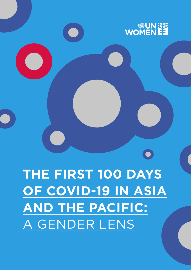

 $\bullet$ 

**THE FIRST 100 DAYS OF COVID-19 IN ASIA AND THE PACIFIC:** A GENDER LENS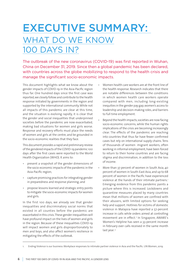# EXECUTIVE SUMMARY: WHAT DO WE KNOW 100 DAYS IN?

The outbreak of the new coronavirus (COVID-19) was first reported in Wuhan, China on December 31, 2019. Since then a global pandemic has been declared, with countries across the globe mobilizing to respond to the health crisis and manage the significant socio-economic impacts.

This document highlights what we know about the gender impacts of COVID-19 in the Asia-Pacific region thus far. One hundred days since the first case was reported, we closely follow and contribute to the health response initiated by governments in the region and supported by the international community. While not all impacts of this pandemic are clear at this time, and the situation is evolving rapidly, it is clear that the gender and social inequalities that underpinned societies before the pandemic are now exacerbated, making bad situations for women and girls worse. Response and recovery efforts must place the needs of women and girls at the centre, and be grounded in the socio-economic realities that they face.

This document provides a rapid and preliminary review of the gendered impacts of the COVID-19 pandemic 100 days after the first cases were reported to the World Health Organization (WHO). It aims to:

- present a snapshot of the gender dimensions of the socio-economic impacts of the pandemic in the Asia-Pacific region;
- capture promising practices for integrating gender in preparedness and response planning; and
- propose lessons learned and strategic entry points to mitigate the socio-economic impacts for women and girls.

In the first 100 days, we already see that gender inequalities and discriminatory social norms that existed in all counties before the pandemic are exacerbated in this crisis. These gender inequalities will have profound impact on the lives of women and girls in the region. Because of these inequalities COVID-19 will impact women and girls disproportionately to men and boys, and also affect women's resilience in mitigating the effects of the outbreak.

- Women health care workers are at the front line of the health response. Research indicates that there are notable differences between the conditions in which women health care workers operate compared with men, including long-existing inequities in the gender pay gap, women's access to leadership and decision-making roles, and barriers to full time employment.
- Beyond the health impacts, societies are now facing socio-economic concerns, while the human rights implications of the crisis are becoming increasingly clear. The effects of the pandemic are reaching into countries that thus far have fewer confirmed cases but rely on international supply chains. Tens of thousands of women migrant workers, often working in informal employment, have been forced to return to their home countries and are facing stigma and discrimination, in addition to the loss of income.
- More than 37 percent of women in South Asia, 40 percent of women in South-East Asia, and up to 68 percent of women in the Pacific have experienced violence at the hands of their intimate partners.<sup>1</sup> Emerging evidence from this pandemic paints a picture where this is increased. Lockdowns and quarantine measures placed by many countries mean that millions of women are confined with their abusers, with limited options for seeking help and support. Hotlines for victims of domestic violence in Malaysia have reported a 57-percent increase in calls while orders aimed at controlling movement are in effect.<sup>2</sup> In Singapore, AWARE's Women's Helpline has seen a 33-percent increase in February over calls received in the same month last year.<sup>3</sup>

<sup>1.</sup> Ending Violence is our business: Workplace responses to intimate partner violence in Asia and the Pacific. UN Women, 2019.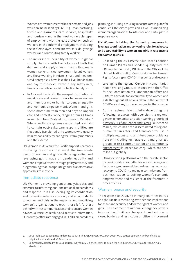- Women are overrepresented in the sectors and jobs which are hardest hit by COVID-19 – manufacturing, textile and garments, care services, hospitality and tourism – and in the most vulnerable types of employment with the least protection, such as workers in the informal employment, including the self-employed, domestic workers, daily wage workers and contributing family workers.
- The increased vulnerability of women in global supply chains – with the collapse of both the demand and supply sides - means that many women workers, including women migrant workers and those working in micro-, small, and mediumsized enterprises, have lost their livelihoods from one day to the next, without any safety nets, financial security or social protection to rely on.
- In Asia and the Pacific, the unequal distribution of unpaid care and domestic work between women and men is a major barrier to gender equality and women's empowerment. Women and girls spend more time than men and boys on unpaid care and domestic work, ranging from 1.7 times as much in New Zealand to 11 times in Pakistan.<sup>i</sup> Where health care systems are stretched by efforts to contain outbreaks, care responsibilities are frequently transferred onto women, who usually bear responsibility for caring for ill family members and the [elderly.ii](file://localhost/applewebdata/::5BDB0056-08E4-40BF-A641-738FD29AAAF6#_ftn2)

UN Women in Asia and the Pacific supports partners in driving responses that meet the immediate needs of women and girls while safeguarding and leveraging gains made on gender equality and women's empowerment, through policy advocacy and programming that incorporate gender-transformative approaches to recovery.

#### Immediate response

UN Women is providing gender analysis, data, and expertise to inform regional and national preparedness and response. It is also leveraging its coordination and convening roles for advocacy and accountability to women and girls in the response and mobilizing women's organizations to reach those left furthest behind with risk communication, and to ensure women have equal voice, leadership, and access to information. Our country offices are engaged in COVID preparedness

planning, including ensuring measures are in place for continued GBV service provision, as well as mobilizing women's organizations to influence and participate in response work.

#### **UN Women is taking the following measures to leverage coordinationandconvening roles for advocacy and accountability to women and girls in response to the COVID-19 crisis:**

- Co-leading the Asia-Pacific Issue-Based Coalition on Human Rights and Gender Equality with the UN Population Fund (UNFPA) and the Office of the United Nations High Commissioner for Human Rights, focusing on COVID-19 response and recovery.
- Leveraging the regional Gender in Humanitarian Action Working Group, co-chaired with the Office for the Coordination of Humanitarian Affairs and CARE, to advocate for accountability to women and girls throughout all actions taken in the context of COVID-19 and any further emergencies that emerge.
- At the regional level, jointly developing the following resources with agencies: the regional gender in humanitarian action working group [joint](https://asiapacific.unwomen.org/en/digital-library/publications/2020/03/the-covid-19-outbreak-and-gender#view) [Advocacy Brief on Gender and COVID](https://asiapacific.unwomen.org/en/digital-library/publications/2020/03/the-covid-19-outbreak-and-gender#view) (launched 10 March), which has been disseminated to regional humanitarian actors and translated for use in multiple regions; and an [inter-agency guidance](https://asiapacific.unwomen.org/en/digital-library/publications/2020/03/covid-19-how-to-include--marginalized-and-vulnerable-people) [note on including vulnerable and marginalized](https://asiapacific.unwomen.org/en/digital-library/publications/2020/03/covid-19-how-to-include--marginalized-and-vulnerable-people) [groups in risk communication and community](https://asiapacific.unwomen.org/en/digital-library/publications/2020/03/covid-19-how-to-include--marginalized-and-vulnerable-people) [engagement](https://asiapacific.unwomen.org/en/digital-library/publications/2020/03/covid-19-how-to-include--marginalized-and-vulnerable-people) (launched March 13), which has been rolled out globally.
- Using existing platforms with the private sector, convening virtual roundtables across the region to fast-track gender-sensitive business response and recovery to COVID-19, and gain commitment from business leaders to putting women's economic empowerment and resilience at the forefront in times of crisis.

#### Women, peace and security

The response to COVID-19 in many countries in Asia and the Pacific is escalating, with serious implications for peace and security, and for the rights of women and girls. The enactment of national emergency powers, introduction of military checkpoints and lockdowns, closed borders, and restrictions on citizens' movement

<sup>2.</sup> [Virus lockdown causing rise in domestic abuse, T](https://theaseanpost.com/article/virus-lockdown-causing-rise-domestic-abuse)he ASEAN Post, 30 March 2020; [MCO causes spurt in number of calls to](https://www.freemalaysiatoday.com/category/nation/2020/03/26/mco-causes-spurt-in-number-of-calls-to-helpline-for-kids-abused/)  [helpline for kids abused,](https://www.freemalaysiatoday.com/category/nation/2020/03/26/mco-causes-spurt-in-number-of-calls-to-helpline-for-kids-abused/) 26 March 2020.

<sup>3.</sup> Commentary: Isolated with your abuser? Why family violence seems to be on the rise during COVID-19 outbreak, CNA, 26 March 2020.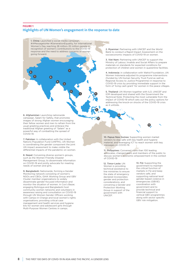#### **FIGURE 1 Highlights of UN Women's engagement in the response to date**

**1.**

**5.**

**3.**

**4.**

**12.**

**11.**

**2.**

**9.**

1. China: Launched a social media campaign, #AMessagetoHer #GenerationEquality, for International Women's Day reaching 28 million–32 million people in recognition of women's contributions to the COVID-19 response and the need to address concerns of women going forward.

6. Afghanistan: Launching nationwide campaign, Salam for Safety, that promotes images of strong Afghan women encouraging their fellow women and men to refrain from the usual greeting practices and embrace the traditional Afghan greeting of "Salam" as a powerful way of combatting the spread of COVID-19.

**7. 8.**

**6.**

7. Pakistan: In collaboration with the United Nations Population Fund (UNFPA), UN Women is coordinating the gender component the joint UN impact assessment to make visible the differential impacts of the pandemic on women.

8. Nepal: Convening diverse women's groups, such as the Women Friendly Disaster Management Group, to disseminate information on COVID-19 and jointly advocate for meeting needs of women and girls.

9. Bangladesh: Nationwide, forming a Gender Monitoring network consisting of women's NGOs and CBOs, GiHA Working Group and GBV Cluster member organizations to widely disseminate gender-focused information and monitor the situation of women. In Cox's Bazar, engaging Rohingya and Bangladeshi host community women networks and volunteers in awareness raising and consultation on COVID-19 through UN Women Gender Officers working with Camps-in-Charge and local women's rights organisations; providing critical case management and health services and hygiene kits for women and adolescent girls through Multi-Purpose Women Centres in camps.

2. Myanmar: Partnering with UNICEF and the World Bank to conduct a Rapid Impact Assessment on the socioeconomic impacts of COVID-19 on women.

3. Viet Nam: Partnering with UNICEF to support the Ministry of Labour, Invalids and Social Affairs to prepare materials on standards for expected conditions for protection of children and women in quarantine facilities.

4. Indonesia: in collaboration with Wahid Foundation, UN Women Indonesia adjusted its programme interventions (funded by UN Human Security Trust Fund as well as Regional Access to Justice Programme) in response to COVID-19 crisis by providing immediate support in the form of 'living cash grant' for women in the peace villages.

5. Thailand: UN Women together with ILO, UNICEF and IOM developed and shared with the Government the Technical Note: Protecting the most vulnerable from the impact of COVID-19 which sets out the policy options for addressing the knock-on shocks of the COVID-19 crisis as it unfolds.

10. Papua New Guinea: Supporting women market vendors to stay safe with key health and hygiene material, and leveraging ICT to reach women with key messages on COVID-19.

11. Philippines: Convened more than 100 leading advocates, changemakers and members of the public to discuss women's economic empowerment in the context of COVID-19

12. Timor-Leste: UN Women is providing technical assistance to line ministries to ensure the state of emergency declared incorporates gender and protection considerations, and convening a Gender and Protection Working Group in support of the government with UNICEF.

**10.**

13. Fiji: Supporting the government to maintain the critical function of markets in Fiji and keep vendors safe, and supporting national level gender-based violence in emergencies (GBViE) coordination with government and to provide technical and financial support to vertical GBV programmes along with sector specific GBV risk mitigation.

**13.**